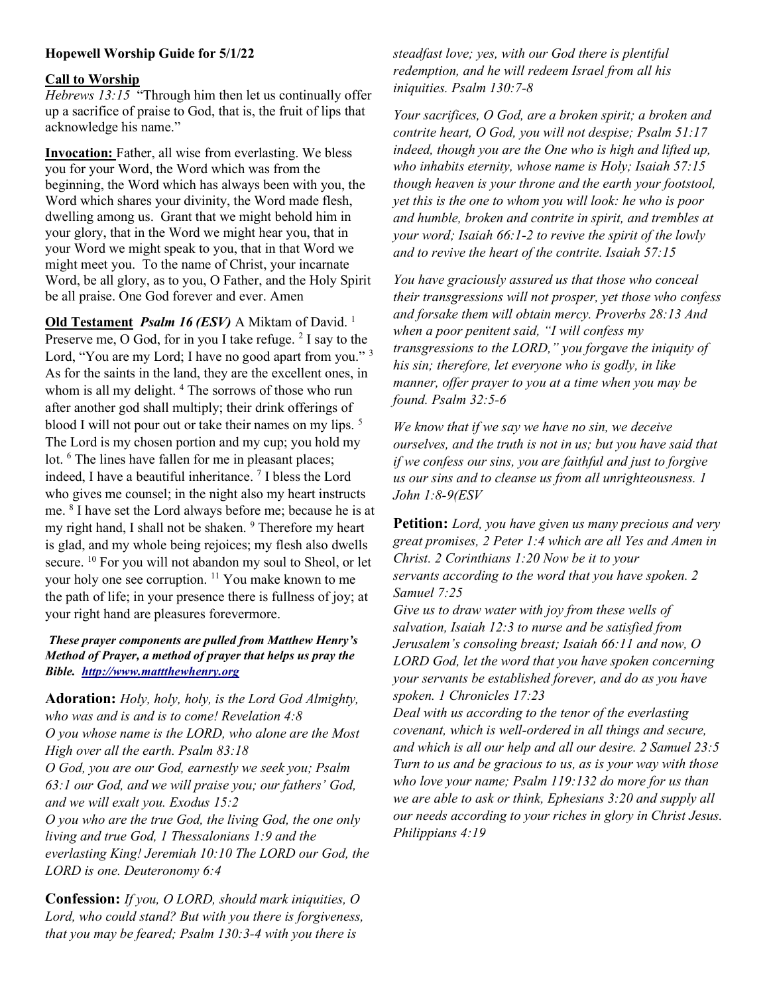# Hopewell Worship Guide for 5/1/22

#### Call to Worship

Hebrews 13:15 "Through him then let us continually offer up a sacrifice of praise to God, that is, the fruit of lips that acknowledge his name."

Invocation: Father, all wise from everlasting. We bless you for your Word, the Word which was from the beginning, the Word which has always been with you, the Word which shares your divinity, the Word made flesh, dwelling among us. Grant that we might behold him in your glory, that in the Word we might hear you, that in your Word we might speak to you, that in that Word we might meet you. To the name of Christ, your incarnate Word, be all glory, as to you, O Father, and the Holy Spirit be all praise. One God forever and ever. Amen

Old Testament *Psalm 16 (ESV)* A Miktam of David.<sup>1</sup> Preserve me, O God, for in you I take refuge.  $2$  I say to the Lord, "You are my Lord; I have no good apart from you."<sup>3</sup> As for the saints in the land, they are the excellent ones, in whom is all my delight.<sup>4</sup> The sorrows of those who run after another god shall multiply; their drink offerings of blood I will not pour out or take their names on my lips.<sup>5</sup> The Lord is my chosen portion and my cup; you hold my lot. <sup>6</sup> The lines have fallen for me in pleasant places; indeed, I have a beautiful inheritance. <sup>7</sup> I bless the Lord who gives me counsel; in the night also my heart instructs me. <sup>8</sup> I have set the Lord always before me; because he is at my right hand, I shall not be shaken. <sup>9</sup> Therefore my heart is glad, and my whole being rejoices; my flesh also dwells secure. <sup>10</sup> For you will not abandon my soul to Sheol, or let your holy one see corruption. <sup>11</sup> You make known to me the path of life; in your presence there is fullness of joy; at your right hand are pleasures forevermore.

#### These prayer components are pulled from Matthew Henry's Method of Prayer, a method of prayer that helps us pray the Bible. http://www.mattthewhenry.org

Adoration: Holy, holy, holy, is the Lord God Almighty, who was and is and is to come! Revelation 4:8 O you whose name is the LORD, who alone are the Most High over all the earth. Psalm 83:18 O God, you are our God, earnestly we seek you; Psalm 63:1 our God, and we will praise you; our fathers' God, and we will exalt you. Exodus 15:2 O you who are the true God, the living God, the one only living and true God, 1 Thessalonians 1:9 and the everlasting King! Jeremiah 10:10 The LORD our God, the LORD is one. Deuteronomy 6:4

Confession: If you, O LORD, should mark iniquities, O Lord, who could stand? But with you there is forgiveness, that you may be feared; Psalm 130:3-4 with you there is

steadfast love; yes, with our God there is plentiful redemption, and he will redeem Israel from all his iniquities. Psalm 130:7-8

Your sacrifices, O God, are a broken spirit; a broken and contrite heart, O God, you will not despise; Psalm 51:17 indeed, though you are the One who is high and lifted up, who inhabits eternity, whose name is Holy; Isaiah 57:15 though heaven is your throne and the earth your footstool, yet this is the one to whom you will look: he who is poor and humble, broken and contrite in spirit, and trembles at your word; Isaiah 66:1-2 to revive the spirit of the lowly and to revive the heart of the contrite. Isaiah 57:15

You have graciously assured us that those who conceal their transgressions will not prosper, yet those who confess and forsake them will obtain mercy. Proverbs 28:13 And when a poor penitent said, "I will confess my transgressions to the LORD," you forgave the iniquity of his sin; therefore, let everyone who is godly, in like manner, offer prayer to you at a time when you may be found. Psalm 32:5-6

We know that if we say we have no sin, we deceive ourselves, and the truth is not in us; but you have said that if we confess our sins, you are faithful and just to forgive us our sins and to cleanse us from all unrighteousness. 1 John 1:8-9(ESV

Petition: Lord, you have given us many precious and very great promises, 2 Peter 1:4 which are all Yes and Amen in Christ. 2 Corinthians 1:20 Now be it to your servants according to the word that you have spoken. 2 Samuel 7:25

Give us to draw water with joy from these wells of salvation, Isaiah 12:3 to nurse and be satisfied from Jerusalem's consoling breast; Isaiah 66:11 and now, O LORD God, let the word that you have spoken concerning your servants be established forever, and do as you have spoken. 1 Chronicles 17:23

Deal with us according to the tenor of the everlasting covenant, which is well-ordered in all things and secure, and which is all our help and all our desire. 2 Samuel 23:5 Turn to us and be gracious to us, as is your way with those who love your name; Psalm 119:132 do more for us than we are able to ask or think, Ephesians 3:20 and supply all our needs according to your riches in glory in Christ Jesus. Philippians 4:19